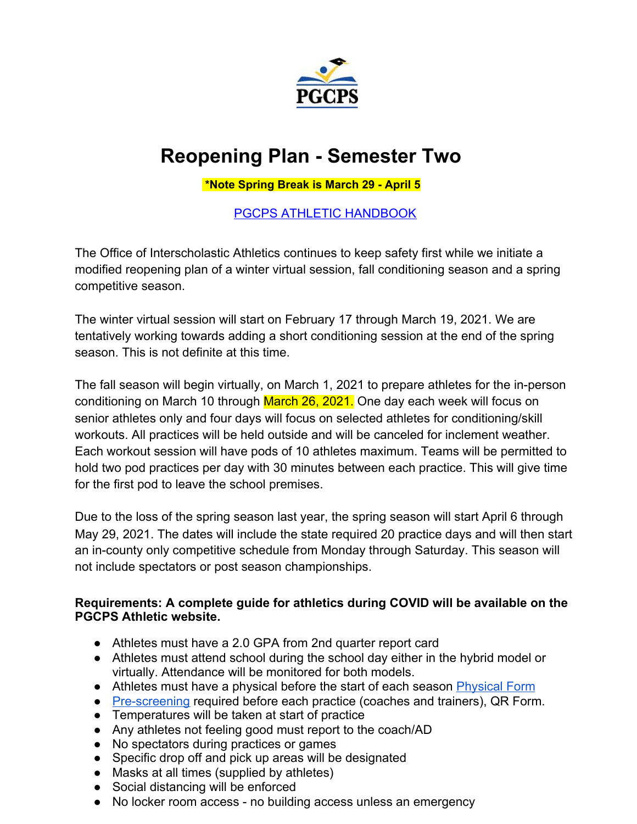

# **Reopening Plan - Semester Two**

**\*Note Spring Break is March 29 - April 5**

[PGCPS ATHLETIC HANDBOOK](https://www.pgcps.org/globalassets/offices/athletics/docs-athletics/pgcps-athletics-handbook.pdf)

The Office of Interscholastic Athletics continues to keep safety first while we initiate a modified reopening plan of a winter virtual session, fall conditioning season and a spring competitive season.

The winter virtual session will start on February 17 through March 19, 2021. We are tentatively working towards adding a short conditioning session at the end of the spring season. This is not definite at this time.

The fall season will begin virtually, on March 1, 2021 to prepare athletes for the in-person conditioning on March 10 through March 26, 2021. One day each week will focus on senior athletes only and four days will focus on selected athletes for conditioning/skill workouts. All practices will be held outside and will be canceled for inclement weather. Each workout session will have pods of 10 athletes maximum. Teams will be permitted to hold two pod practices per day with 30 minutes between each practice. This will give time for the first pod to leave the school premises.

Due to the loss of the spring season last year, the spring season will start April 6 through May 29, 2021. The dates will include the state required 20 practice days and will then start an in-county only competitive schedule from Monday through Saturday. This season will not include spectators or post season championships.

### **Requirements: A complete guide for athletics during COVID will be available on the PGCPS Athletic website.**

- Athletes must have a 2.0 GPA from 2nd quarter report card
- Athletes must attend school during the school day either in the hybrid model or virtually. Attendance will be monitored for both models.
- Athletes must have a physical before the start of each season **[Physical Form](https://www.mpssaa.org/assets/1/6/Physical_Evaluation_Form.pdf)**
- [Pre-screening](https://docs.google.com/forms/d/e/1FAIpQLSfXzi6eEdxwu1KdaQOpQb0hPICW6sC4jo0xTDcNVzm3bvVZbg/viewform?usp=pp_url) required before each practice (coaches and trainers), QR Form.
- Temperatures will be taken at start of practice
- Any athletes not feeling good must report to the coach/AD
- No spectators during practices or games
- Specific drop off and pick up areas will be designated
- Masks at all times (supplied by athletes)
- Social distancing will be enforced
- No locker room access no building access unless an emergency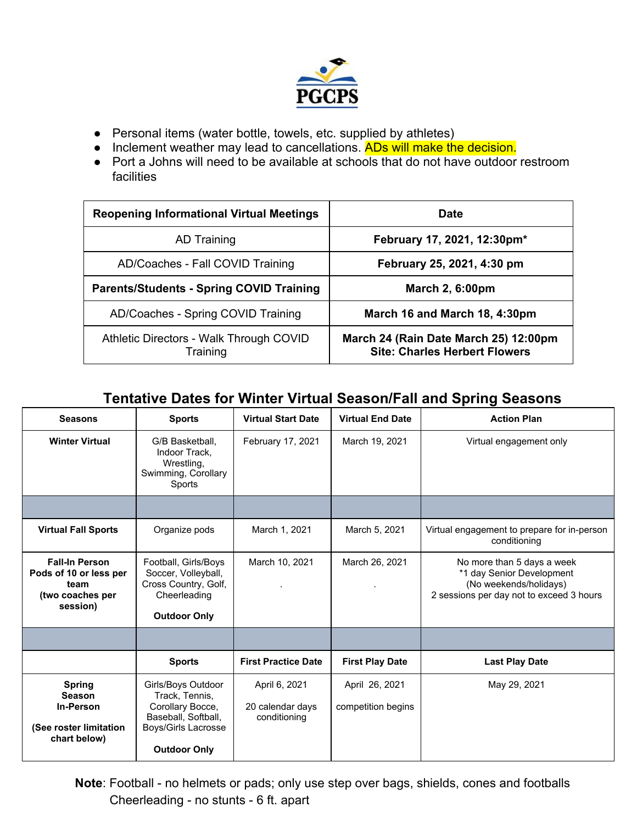

- Personal items (water bottle, towels, etc. supplied by athletes)
- Inclement weather may lead to cancellations. ADs will make the decision.
- Port a Johns will need to be available at schools that do not have outdoor restroom facilities

| <b>Reopening Informational Virtual Meetings</b>     | Date                                                                          |  |
|-----------------------------------------------------|-------------------------------------------------------------------------------|--|
| <b>AD Training</b>                                  | February 17, 2021, 12:30pm*                                                   |  |
| AD/Coaches - Fall COVID Training                    | February 25, 2021, 4:30 pm                                                    |  |
| <b>Parents/Students - Spring COVID Training</b>     | <b>March 2, 6:00pm</b>                                                        |  |
| AD/Coaches - Spring COVID Training                  | March 16 and March 18, 4:30pm                                                 |  |
| Athletic Directors - Walk Through COVID<br>Training | March 24 (Rain Date March 25) 12:00pm<br><b>Site: Charles Herbert Flowers</b> |  |

### **Tentative Dates for Winter Virtual Season/Fall and Spring Seasons**

| <b>Seasons</b>                                                                          | <b>Sports</b>                                                                                                                 | <b>Virtual Start Date</b>                         | <b>Virtual End Date</b>              | <b>Action Plan</b>                                                                                                            |
|-----------------------------------------------------------------------------------------|-------------------------------------------------------------------------------------------------------------------------------|---------------------------------------------------|--------------------------------------|-------------------------------------------------------------------------------------------------------------------------------|
| <b>Winter Virtual</b>                                                                   | G/B Basketball.<br>Indoor Track.<br>Wrestling,<br>Swimming, Corollary<br>Sports                                               | February 17, 2021                                 | March 19, 2021                       | Virtual engagement only                                                                                                       |
|                                                                                         |                                                                                                                               |                                                   |                                      |                                                                                                                               |
| <b>Virtual Fall Sports</b>                                                              | Organize pods                                                                                                                 | March 1, 2021                                     | March 5, 2021                        | Virtual engagement to prepare for in-person<br>conditioning                                                                   |
| <b>Fall-In Person</b><br>Pods of 10 or less per<br>team<br>(two coaches per<br>session) | Football, Girls/Boys<br>Soccer, Volleyball,<br>Cross Country, Golf,<br>Cheerleading<br><b>Outdoor Only</b>                    | March 10, 2021                                    | March 26, 2021                       | No more than 5 days a week<br>*1 day Senior Development<br>(No weekends/holidays)<br>2 sessions per day not to exceed 3 hours |
|                                                                                         |                                                                                                                               |                                                   |                                      |                                                                                                                               |
|                                                                                         | <b>Sports</b>                                                                                                                 | <b>First Practice Date</b>                        | <b>First Play Date</b>               | <b>Last Play Date</b>                                                                                                         |
| <b>Spring</b><br><b>Season</b><br>In-Person<br>(See roster limitation<br>chart below)   | Girls/Boys Outdoor<br>Track, Tennis,<br>Corollary Bocce,<br>Baseball, Softball,<br>Boys/Girls Lacrosse<br><b>Outdoor Only</b> | April 6, 2021<br>20 calendar days<br>conditioning | April 26, 2021<br>competition begins | May 29, 2021                                                                                                                  |

**Note**: Football - no helmets or pads; only use step over bags, shields, cones and footballs Cheerleading - no stunts - 6 ft. apart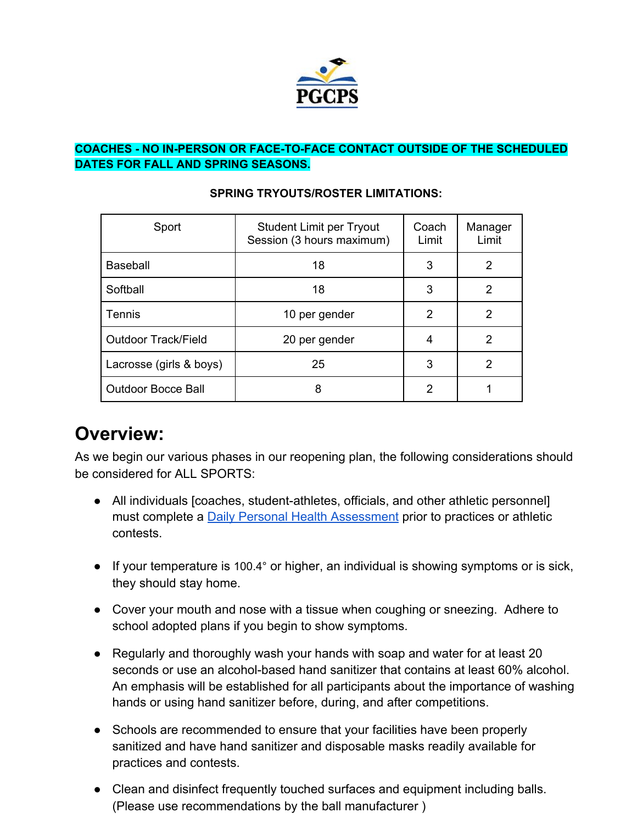

### **COACHES - NO IN-PERSON OR FACE-TO-FACE CONTACT OUTSIDE OF THE SCHEDULED DATES FOR FALL AND SPRING SEASONS.**

| Sport                      | Student Limit per Tryout<br>Session (3 hours maximum) | Coach<br>Limit | Manager<br>Limit |
|----------------------------|-------------------------------------------------------|----------------|------------------|
| <b>Baseball</b>            | 18                                                    | 3              | 2                |
| Softball                   | 18                                                    | 3              | 2                |
| Tennis                     | 10 per gender                                         | 2              | 2                |
| <b>Outdoor Track/Field</b> | 20 per gender                                         | 4              | 2                |
| Lacrosse (girls & boys)    | 25                                                    | 3              | 2                |
| <b>Outdoor Bocce Ball</b>  | 8                                                     | 2              |                  |

#### **SPRING TRYOUTS/ROSTER LIMITATIONS:**

# **Overview:**

As we begin our various phases in our reopening plan, the following considerations should be considered for ALL SPORTS:

- All individuals [coaches, student-athletes, officials, and other athletic personnel] must complete a **[Daily Personal Health Assessment](https://docs.google.com/forms/d/e/1FAIpQLSfXzi6eEdxwu1KdaQOpQb0hPICW6sC4jo0xTDcNVzm3bvVZbg/viewform?usp=sf_link)** prior to practices or athletic contests.
- If your temperature is 100.4° or higher, an individual is showing symptoms or is sick, they should stay home.
- Cover your mouth and nose with a tissue when coughing or sneezing. Adhere to school adopted plans if you begin to show symptoms.
- Regularly and thoroughly wash your hands with soap and water for at least 20 seconds or use an alcohol-based hand sanitizer that contains at least 60% alcohol. An emphasis will be established for all participants about the importance of washing hands or using hand sanitizer before, during, and after competitions.
- Schools are recommended to ensure that your facilities have been properly sanitized and have hand sanitizer and disposable masks readily available for practices and contests.
- Clean and disinfect frequently touched surfaces and equipment including balls. (Please use recommendations by the ball manufacturer )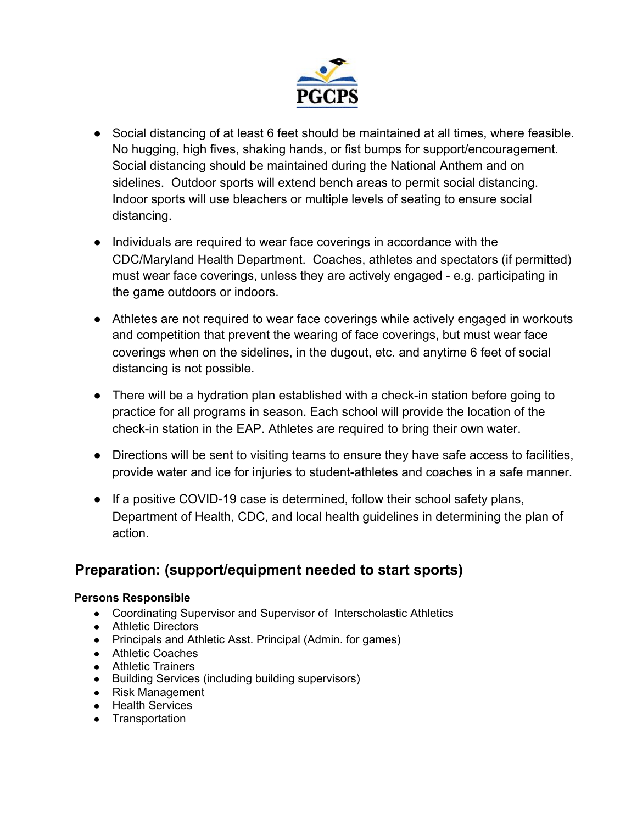

- Social distancing of at least 6 feet should be maintained at all times, where feasible. No hugging, high fives, shaking hands, or fist bumps for support/encouragement. Social distancing should be maintained during the National Anthem and on sidelines. Outdoor sports will extend bench areas to permit social distancing. Indoor sports will use bleachers or multiple levels of seating to ensure social distancing.
- Individuals are required to wear face coverings in accordance with the CDC/Maryland Health Department. Coaches, athletes and spectators (if permitted) must wear face coverings, unless they are actively engaged - e.g. participating in the game outdoors or indoors.
- Athletes are not required to wear face coverings while actively engaged in workouts and competition that prevent the wearing of face coverings, but must wear face coverings when on the sidelines, in the dugout, etc. and anytime 6 feet of social distancing is not possible.
- There will be a hydration plan established with a check-in station before going to practice for all programs in season. Each school will provide the location of the check-in station in the EAP. Athletes are required to bring their own water.
- Directions will be sent to visiting teams to ensure they have safe access to facilities, provide water and ice for injuries to student-athletes and coaches in a safe manner.
- If a positive COVID-19 case is determined, follow their school safety plans, Department of Health, CDC, and local health guidelines in determining the plan of action.

### **Preparation: (support/equipment needed to start sports)**

#### **Persons Responsible**

- Coordinating Supervisor and Supervisor of Interscholastic Athletics
- Athletic Directors
- Principals and Athletic Asst. Principal (Admin. for games)
- Athletic Coaches
- Athletic Trainers
- Building Services (including building supervisors)
- Risk Management
- Health Services
- Transportation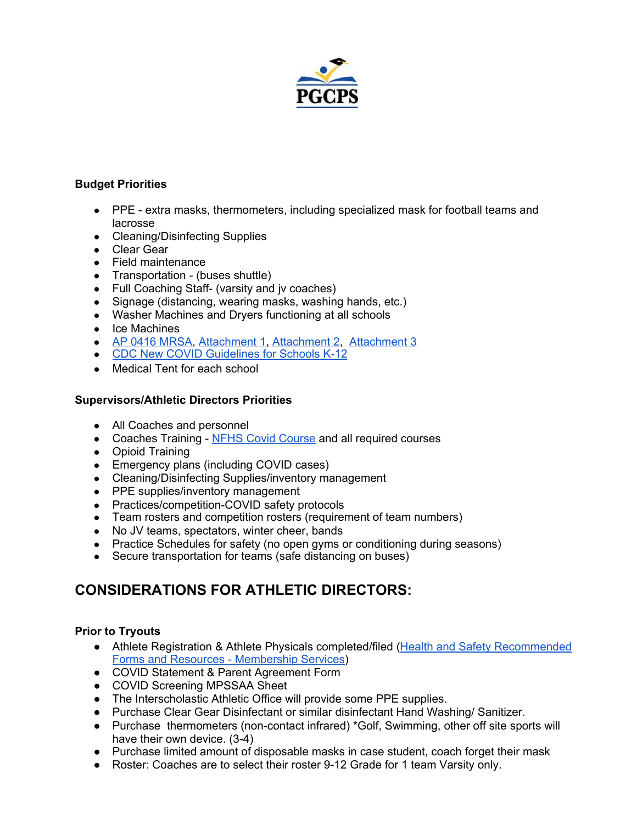

#### **Budget Priorities**

- PPE extra masks, thermometers, including specialized mask for football teams and lacrosse
- Cleaning/Disinfecting Supplies
- Clear Gear
- Field maintenance
- Transportation (buses shuttle)
- Full Coaching Staff- (varsity and jv coaches)
- Signage (distancing, wearing masks, washing hands, etc.)
- Washer Machines and Dryers functioning at all schools
- Ice Machines
- *●* AP 0416 [MRSA,](https://drive.google.com/file/d/1pGsCTcwqMqr28eWXLAwcjXFfJ_KUyjv_/view?usp=sharing) [Attachment](https://drive.google.com/file/d/1Z5owh-psBvj-qeLMYwRnTv6OVP_8DlrB/view?usp=sharing) 1, [Attachment](https://drive.google.com/file/d/1-YNOOTfZc9EIya-NcXTa9ZZ8zDFcqnah/view?usp=sharing) 2, [Attachment](https://drive.google.com/file/d/1rt4piYzj83kgYQZnM0U4cUj9IaUgDOaq/view?usp=sharing) 3
- CDC New COVID [Guidelines](https://www.cdc.gov/coronavirus/2019-ncov/community/schools-childcare/symptom-screening.html) for Schools K-12
- Medical Tent for each school

#### **Supervisors/Athletic Directors Priorities**

- All Coaches and personnel
- Coaches Training NFHS Covid [Course](https://nfhslearn.com/courses/covid-19-for-coaches-and-administrators) and all required courses
- Opioid Training
- Emergency plans (including COVID cases)
- Cleaning/Disinfecting Supplies/inventory management
- PPE supplies/inventory management
- Practices/competition-COVID safety protocols
- Team rosters and competition rosters (requirement of team numbers)
- No JV teams, spectators, winter cheer, bands
- Practice Schedules for safety (no open gyms or conditioning during seasons)
- Secure transportation for teams (safe distancing on buses)

### **CONSIDERATIONS FOR ATHLETIC DIRECTORS:**

#### **Prior to Tryouts**

- Athlete Registration & Athlete Physicals completed/filed (Health and Safety [Recommended](https://www.mpssaa.org/membership-services/health-and-safety/health-and-safety-recommended-forms-and-resources/) Forms and Resources - [Membership](https://www.mpssaa.org/membership-services/health-and-safety/health-and-safety-recommended-forms-and-resources/) Services)
- COVID Statement & Parent Agreement Form
- COVID Screening MPSSAA Sheet
- The Interscholastic Athletic Office will provide some PPE supplies.
- Purchase Clear Gear Disinfectant or similar disinfectant Hand Washing/ Sanitizer.
- Purchase thermometers (non-contact infrared) \*Golf, Swimming, other off site sports will have their own device. (3-4)
- Purchase limited amount of disposable masks in case student, coach forget their mask
- Roster: Coaches are to select their roster 9-12 Grade for 1 team Varsity only.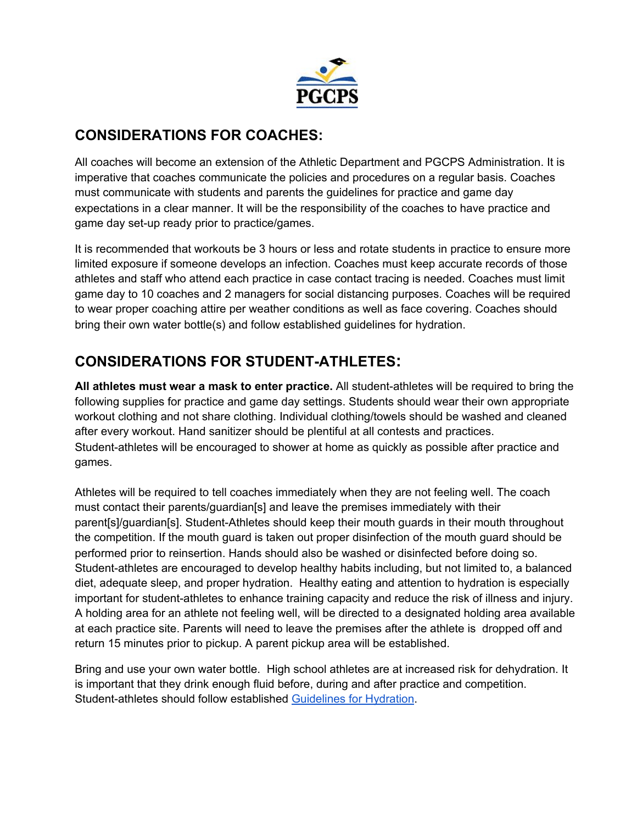

### **CONSIDERATIONS FOR COACHES:**

All coaches will become an extension of the Athletic Department and PGCPS Administration. It is imperative that coaches communicate the policies and procedures on a regular basis. Coaches must communicate with students and parents the guidelines for practice and game day expectations in a clear manner. It will be the responsibility of the coaches to have practice and game day set-up ready prior to practice/games.

It is recommended that workouts be 3 hours or less and rotate students in practice to ensure more limited exposure if someone develops an infection. Coaches must keep accurate records of those athletes and staff who attend each practice in case contact tracing is needed. Coaches must limit game day to 10 coaches and 2 managers for social distancing purposes. Coaches will be required to wear proper coaching attire per weather conditions as well as face covering. Coaches should bring their own water bottle(s) and follow established guidelines for hydration.

### **CONSIDERATIONS FOR STUDENT-ATHLETES:**

**All athletes must wear a mask to enter practice.** All student-athletes will be required to bring the following supplies for practice and game day settings. Students should wear their own appropriate workout clothing and not share clothing. Individual clothing/towels should be washed and cleaned after every workout. Hand sanitizer should be plentiful at all contests and practices. Student-athletes will be encouraged to shower at home as quickly as possible after practice and games.

Athletes will be required to tell coaches immediately when they are not feeling well. The coach must contact their parents/guardian[s] and leave the premises immediately with their parent[s]/guardian[s]. Student-Athletes should keep their mouth guards in their mouth throughout the competition. If the mouth guard is taken out proper disinfection of the mouth guard should be performed prior to reinsertion. Hands should also be washed or disinfected before doing so. Student-athletes are encouraged to develop healthy habits including, but not limited to, a balanced diet, adequate sleep, and proper hydration. Healthy eating and attention to hydration is especially important for student-athletes to enhance training capacity and reduce the risk of illness and injury. A holding area for an athlete not feeling well, will be directed to a designated holding area available at each practice site. Parents will need to leave the premises after the athlete is dropped off and return 15 minutes prior to pickup. A parent pickup area will be established.

Bring and use your own water bottle. High school athletes are at increased risk for dehydration. It is important that they drink enough fluid before, during and after practice and competition. Student-athletes should follow established [Guidelines](https://www.nata.org/sites/default/files/healthy-hydration-for-young-athletes.pdf) for Hydration.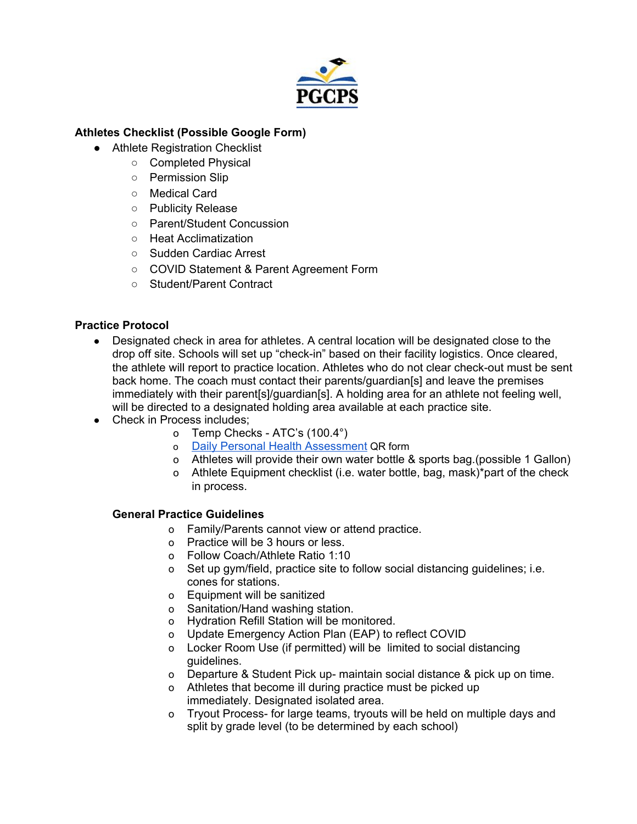

#### **Athletes Checklist (Possible Google Form)**

- Athlete Registration Checklist
	- Completed Physical
	- Permission Slip
	- Medical Card
	- Publicity Release
	- Parent/Student Concussion
	- Heat Acclimatization
	- Sudden Cardiac Arrest
	- COVID Statement & Parent Agreement Form
	- Student/Parent Contract

#### **Practice Protocol**

- Designated check in area for athletes. A central location will be designated close to the drop off site. Schools will set up "check-in" based on their facility logistics. Once cleared, the athlete will report to practice location. Athletes who do not clear check-out must be sent back home. The coach must contact their parents/guardian[s] and leave the premises immediately with their parent[s]/guardian[s]. A holding area for an athlete not feeling well, will be directed to a designated holding area available at each practice site.
- Check in Process includes:
	- o Temp Checks ATC's (100.4°)
	- o Daily Personal Health [Assessment](https://docs.google.com/forms/d/e/1FAIpQLSfXzi6eEdxwu1KdaQOpQb0hPICW6sC4jo0xTDcNVzm3bvVZbg/viewform?usp=sf_link) QR form
	- o Athletes will provide their own water bottle & sports bag.(possible 1 Gallon)
	- o Athlete Equipment checklist (i.e. water bottle, bag, mask)\*part of the check in process.

#### **General Practice Guidelines**

- o Family/Parents cannot view or attend practice.
- o Practice will be 3 hours or less.
- o Follow Coach/Athlete Ratio 1:10
- o Set up gym/field, practice site to follow social distancing guidelines; i.e. cones for stations.
- o Equipment will be sanitized
- o Sanitation/Hand washing station.
- o Hydration Refill Station will be monitored.
- o Update Emergency Action Plan (EAP) to reflect COVID
- o Locker Room Use (if permitted) will be limited to social distancing guidelines.
- o Departure & Student Pick up- maintain social distance & pick up on time.
- o Athletes that become ill during practice must be picked up immediately. Designated isolated area.
- o Tryout Process- for large teams, tryouts will be held on multiple days and split by grade level (to be determined by each school)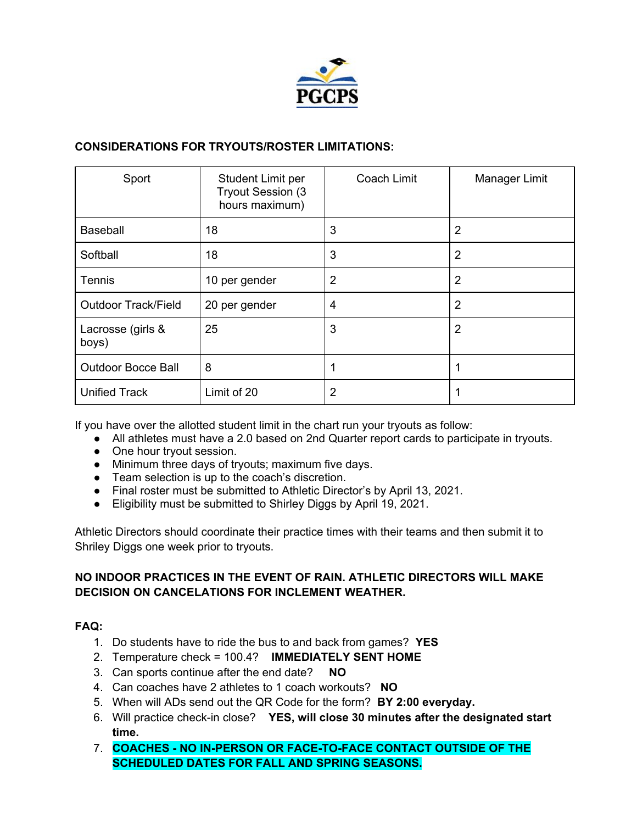

#### **CONSIDERATIONS FOR TRYOUTS/ROSTER LIMITATIONS:**

| Sport                      | Student Limit per<br>Tryout Session (3<br>hours maximum) | Coach Limit    | Manager Limit  |
|----------------------------|----------------------------------------------------------|----------------|----------------|
| <b>Baseball</b>            | 18                                                       | 3              | 2              |
| Softball                   | 18                                                       | 3              | $\overline{2}$ |
| <b>Tennis</b>              | 10 per gender                                            | $\overline{2}$ | $\overline{2}$ |
| <b>Outdoor Track/Field</b> | 20 per gender                                            | 4              | $\overline{2}$ |
| Lacrosse (girls &<br>boys) | 25                                                       | 3              | $\overline{2}$ |
| <b>Outdoor Bocce Ball</b>  | 8                                                        | 1              |                |
| <b>Unified Track</b>       | Limit of 20                                              | $\overline{2}$ |                |

If you have over the allotted student limit in the chart run your tryouts as follow:

- All athletes must have a 2.0 based on 2nd Quarter report cards to participate in tryouts.
- One hour tryout session.
- Minimum three days of tryouts; maximum five days.
- Team selection is up to the coach's discretion.
- Final roster must be submitted to Athletic Director's by April 13, 2021.
- Eligibility must be submitted to Shirley Diggs by April 19, 2021.

Athletic Directors should coordinate their practice times with their teams and then submit it to Shriley Diggs one week prior to tryouts.

#### **NO INDOOR PRACTICES IN THE EVENT OF RAIN. ATHLETIC DIRECTORS WILL MAKE DECISION ON CANCELATIONS FOR INCLEMENT WEATHER.**

#### **FAQ:**

- 1. Do students have to ride the bus to and back from games? **YES**
- 2. Temperature check = 100.4? **IMMEDIATELY SENT HOME**
- 3. Can sports continue after the end date? **NO**
- 4. Can coaches have 2 athletes to 1 coach workouts? **NO**
- 5. When will ADs send out the QR Code for the form? **BY 2:00 everyday.**
- 6. Will practice check-in close? **YES, will close 30 minutes after the designated start time.**
- 7. **COACHES - NO IN-PERSON OR FACE-TO-FACE CONTACT OUTSIDE OF THE SCHEDULED DATES FOR FALL AND SPRING SEASONS.**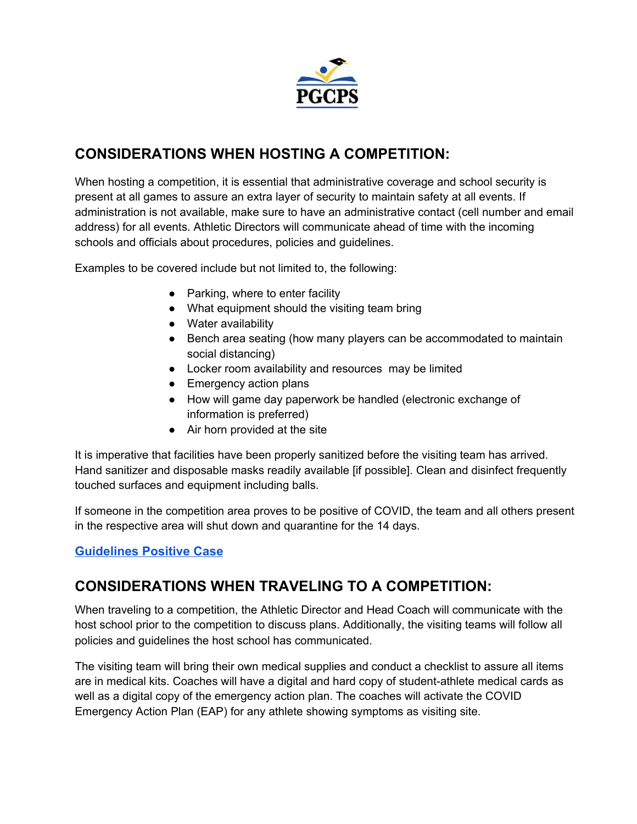

### **CONSIDERATIONS WHEN HOSTING A COMPETITION:**

When hosting a competition, it is essential that administrative coverage and school security is present at all games to assure an extra layer of security to maintain safety at all events. If administration is not available, make sure to have an administrative contact (cell number and email address) for all events. Athletic Directors will communicate ahead of time with the incoming schools and officials about procedures, policies and guidelines.

Examples to be covered include but not limited to, the following:

- $\bullet$  Parking, where to enter facility
- What equipment should the visiting team bring
- Water availability
- Bench area seating (how many players can be accommodated to maintain social distancing)
- Locker room availability and resources may be limited
- Emergency action plans
- How will game day paperwork be handled (electronic exchange of information is preferred)
- Air horn provided at the site

It is imperative that facilities have been properly sanitized before the visiting team has arrived. Hand sanitizer and disposable masks readily available [if possible]. Clean and disinfect frequently touched surfaces and equipment including balls.

If someone in the competition area proves to be positive of COVID, the team and all others present in the respective area will shut down and quarantine for the 14 days.

### **[Guidelines Positive Case](https://www.cdc.gov/coronavirus/2019-ncov/community/schools-childcare/youth-sports.html#preparing)**

### **CONSIDERATIONS WHEN TRAVELING TO A COMPETITION:**

When traveling to a competition, the Athletic Director and Head Coach will communicate with the host school prior to the competition to discuss plans. Additionally, the visiting teams will follow all policies and guidelines the host school has communicated.

The visiting team will bring their own medical supplies and conduct a checklist to assure all items are in medical kits. Coaches will have a digital and hard copy of student-athlete medical cards as well as a digital copy of the emergency action plan. The coaches will activate the COVID Emergency Action Plan (EAP) for any athlete showing symptoms as visiting site.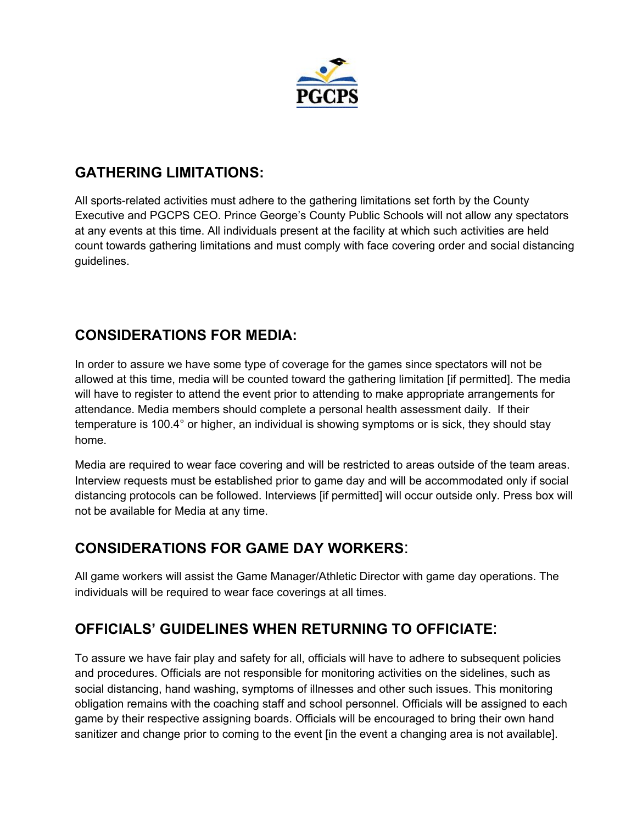

### **GATHERING LIMITATIONS:**

All sports-related activities must adhere to the gathering limitations set forth by the County Executive and PGCPS CEO. Prince George's County Public Schools will not allow any spectators at any events at this time. All individuals present at the facility at which such activities are held count towards gathering limitations and must comply with face covering order and social distancing guidelines.

### **CONSIDERATIONS FOR MEDIA:**

In order to assure we have some type of coverage for the games since spectators will not be allowed at this time, media will be counted toward the gathering limitation [if permitted]. The media will have to register to attend the event prior to attending to make appropriate arrangements for attendance. Media members should complete a personal health assessment daily. If their temperature is 100.4° or higher, an individual is showing symptoms or is sick, they should stay home.

Media are required to wear face covering and will be restricted to areas outside of the team areas. Interview requests must be established prior to game day and will be accommodated only if social distancing protocols can be followed. Interviews [if permitted] will occur outside only. Press box will not be available for Media at any time.

### **CONSIDERATIONS FOR GAME DAY WORKERS**:

All game workers will assist the Game Manager/Athletic Director with game day operations. The individuals will be required to wear face coverings at all times.

### **OFFICIALS' GUIDELINES WHEN RETURNING TO OFFICIATE**:

To assure we have fair play and safety for all, officials will have to adhere to subsequent policies and procedures. Officials are not responsible for monitoring activities on the sidelines, such as social distancing, hand washing, symptoms of illnesses and other such issues. This monitoring obligation remains with the coaching staff and school personnel. Officials will be assigned to each game by their respective assigning boards. Officials will be encouraged to bring their own hand sanitizer and change prior to coming to the event [in the event a changing area is not available].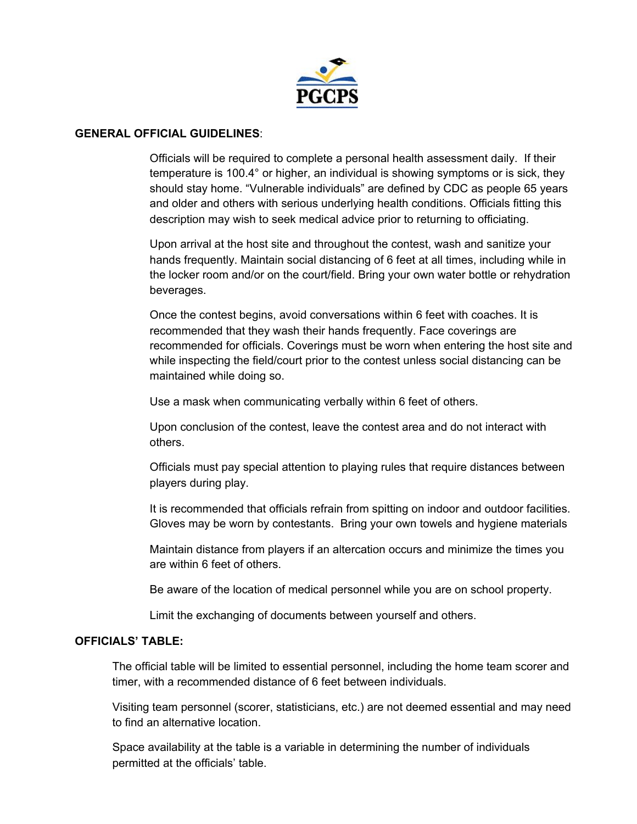

#### **GENERAL OFFICIAL GUIDELINES**:

Officials will be required to complete a personal health assessment daily. If their temperature is 100.4° or higher, an individual is showing symptoms or is sick, they should stay home. "Vulnerable individuals" are defined by CDC as people 65 years and older and others with serious underlying health conditions. Officials fitting this description may wish to seek medical advice prior to returning to officiating.

Upon arrival at the host site and throughout the contest, wash and sanitize your hands frequently. Maintain social distancing of 6 feet at all times, including while in the locker room and/or on the court/field. Bring your own water bottle or rehydration beverages.

Once the contest begins, avoid conversations within 6 feet with coaches. It is recommended that they wash their hands frequently. Face coverings are recommended for officials. Coverings must be worn when entering the host site and while inspecting the field/court prior to the contest unless social distancing can be maintained while doing so.

Use a mask when communicating verbally within 6 feet of others.

Upon conclusion of the contest, leave the contest area and do not interact with others.

Officials must pay special attention to playing rules that require distances between players during play.

It is recommended that officials refrain from spitting on indoor and outdoor facilities. Gloves may be worn by contestants. Bring your own towels and hygiene materials

Maintain distance from players if an altercation occurs and minimize the times you are within 6 feet of others.

Be aware of the location of medical personnel while you are on school property.

Limit the exchanging of documents between yourself and others.

#### **OFFICIALS' TABLE:**

The official table will be limited to essential personnel, including the home team scorer and timer, with a recommended distance of 6 feet between individuals.

Visiting team personnel (scorer, statisticians, etc.) are not deemed essential and may need to find an alternative location.

Space availability at the table is a variable in determining the number of individuals permitted at the officials' table.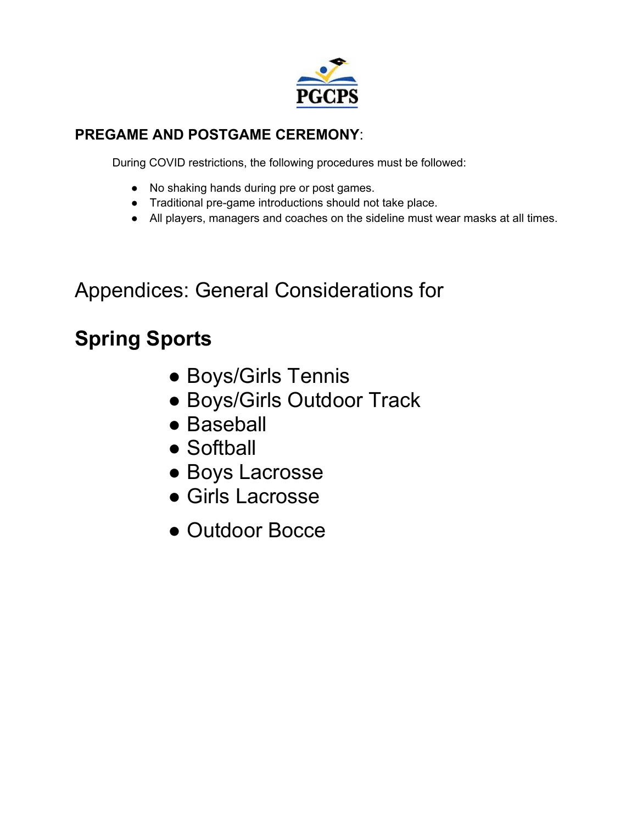

### **PREGAME AND POSTGAME CEREMONY**:

During COVID restrictions, the following procedures must be followed:

- No shaking hands during pre or post games.
- Traditional pre-game introductions should not take place.
- All players, managers and coaches on the sideline must wear masks at all times.

# Appendices: General Considerations for

# **Spring Sports**

- Boys/Girls Tennis
- Boys/Girls Outdoor Track
- Baseball
- Softball
- Boys Lacrosse
- Girls Lacrosse
- Outdoor Bocce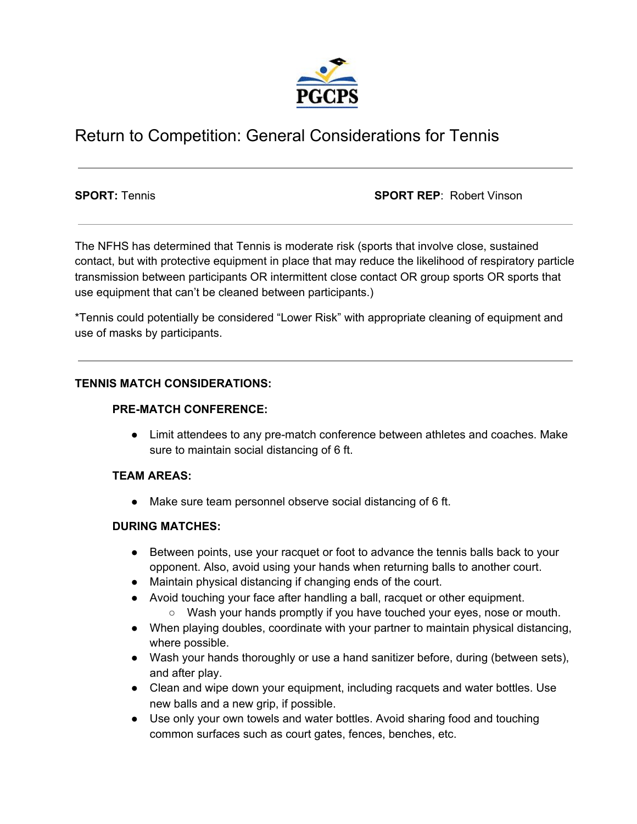

### Return to Competition: General Considerations for Tennis

**SPORT:** Tennis **SPORT REP**: Robert Vinson

The NFHS has determined that Tennis is moderate risk (sports that involve close, sustained contact, but with protective equipment in place that may reduce the likelihood of respiratory particle transmission between participants OR intermittent close contact OR group sports OR sports that use equipment that can't be cleaned between participants.)

\*Tennis could potentially be considered "Lower Risk" with appropriate cleaning of equipment and use of masks by participants.

#### **TENNIS MATCH CONSIDERATIONS:**

#### **PRE-MATCH CONFERENCE:**

● Limit attendees to any pre-match conference between athletes and coaches. Make sure to maintain social distancing of 6 ft.

#### **TEAM AREAS:**

● Make sure team personnel observe social distancing of 6 ft.

#### **DURING MATCHES:**

- Between points, use your racquet or foot to advance the tennis balls back to your opponent. Also, avoid using your hands when returning balls to another court.
- Maintain physical distancing if changing ends of the court.
- Avoid touching your face after handling a ball, racquet or other equipment.
	- Wash your hands promptly if you have touched your eyes, nose or mouth.
- When playing doubles, coordinate with your partner to maintain physical distancing, where possible.
- Wash your hands thoroughly or use a hand sanitizer before, during (between sets), and after play.
- Clean and wipe down your equipment, including racquets and water bottles. Use new balls and a new grip, if possible.
- Use only your own towels and water bottles. Avoid sharing food and touching common surfaces such as court gates, fences, benches, etc.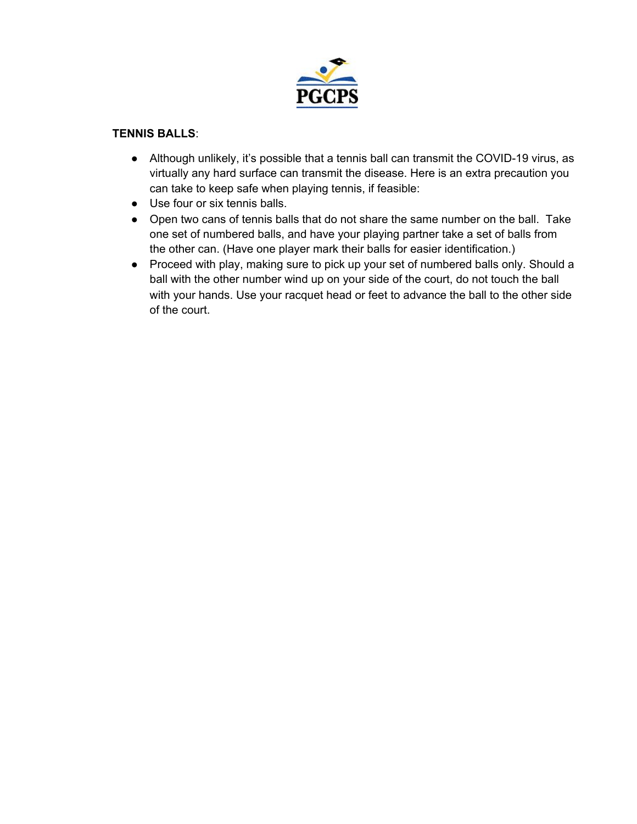

#### **TENNIS BALLS**:

- Although unlikely, it's possible that a tennis ball can transmit the COVID-19 virus, as virtually any hard surface can transmit the disease. Here is an extra precaution you can take to keep safe when playing tennis, if feasible:
- Use four or six tennis balls.
- Open two cans of tennis balls that do not share the same number on the ball. Take one set of numbered balls, and have your playing partner take a set of balls from the other can. (Have one player mark their balls for easier identification.)
- Proceed with play, making sure to pick up your set of numbered balls only. Should a ball with the other number wind up on your side of the court, do not touch the ball with your hands. Use your racquet head or feet to advance the ball to the other side of the court.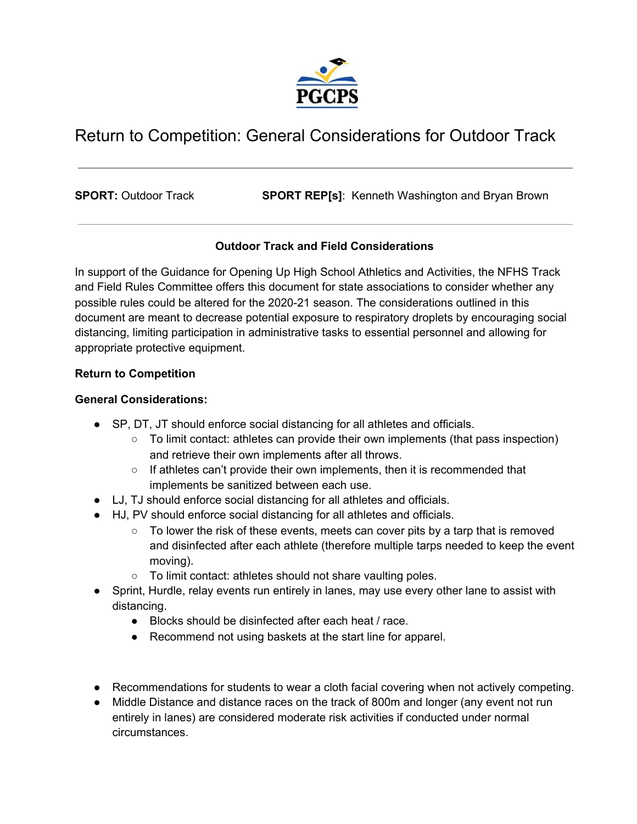

## Return to Competition: General Considerations for Outdoor Track

**SPORT:** Outdoor Track **SPORT REP[s]**: Kenneth Washington and Bryan Brown

#### **Outdoor Track and Field Considerations**

In support of the Guidance for Opening Up High School Athletics and Activities, the NFHS Track and Field Rules Committee offers this document for state associations to consider whether any possible rules could be altered for the 2020-21 season. The considerations outlined in this document are meant to decrease potential exposure to respiratory droplets by encouraging social distancing, limiting participation in administrative tasks to essential personnel and allowing for appropriate protective equipment.

#### **Return to Competition**

#### **General Considerations:**

- SP, DT, JT should enforce social distancing for all athletes and officials.
	- To limit contact: athletes can provide their own implements (that pass inspection) and retrieve their own implements after all throws.
	- $\circ$  If athletes can't provide their own implements, then it is recommended that implements be sanitized between each use.
- LJ, TJ should enforce social distancing for all athletes and officials.
- HJ, PV should enforce social distancing for all athletes and officials.
	- $\circ$  To lower the risk of these events, meets can cover pits by a tarp that is removed and disinfected after each athlete (therefore multiple tarps needed to keep the event moving).
	- To limit contact: athletes should not share vaulting poles.
- Sprint, Hurdle, relay events run entirely in lanes, may use every other lane to assist with distancing.
	- Blocks should be disinfected after each heat / race.
	- Recommend not using baskets at the start line for apparel.
- Recommendations for students to wear a cloth facial covering when not actively competing.
- Middle Distance and distance races on the track of 800m and longer (any event not run entirely in lanes) are considered moderate risk activities if conducted under normal circumstances.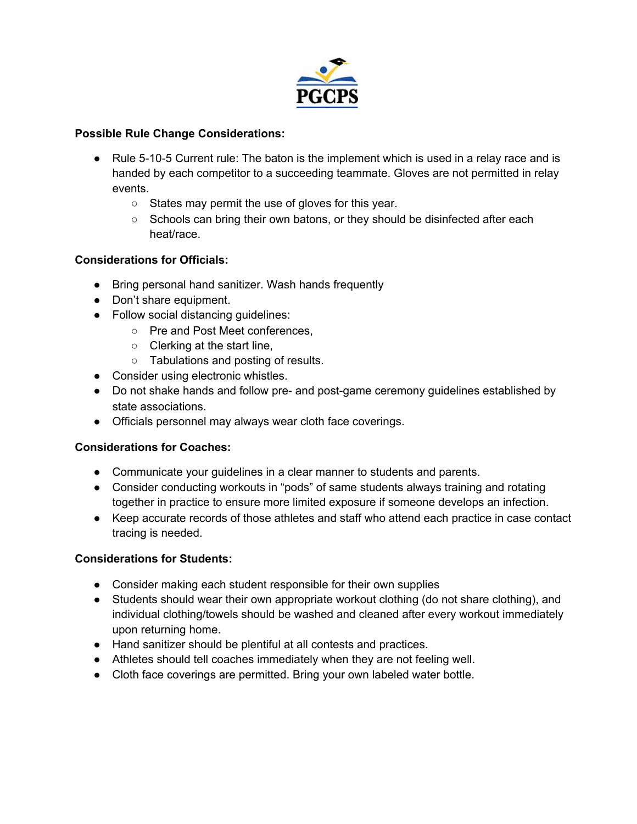

#### **Possible Rule Change Considerations:**

- Rule 5-10-5 Current rule: The baton is the implement which is used in a relay race and is handed by each competitor to a succeeding teammate. Gloves are not permitted in relay events.
	- States may permit the use of gloves for this year.
	- Schools can bring their own batons, or they should be disinfected after each heat/race.

#### **Considerations for Officials:**

- Bring personal hand sanitizer. Wash hands frequently
- Don't share equipment.
- Follow social distancing guidelines:
	- Pre and Post Meet conferences,
	- Clerking at the start line.
	- Tabulations and posting of results.
- Consider using electronic whistles.
- Do not shake hands and follow pre- and post-game ceremony guidelines established by state associations.
- Officials personnel may always wear cloth face coverings.

#### **Considerations for Coaches:**

- Communicate your guidelines in a clear manner to students and parents.
- Consider conducting workouts in "pods" of same students always training and rotating together in practice to ensure more limited exposure if someone develops an infection.
- Keep accurate records of those athletes and staff who attend each practice in case contact tracing is needed.

#### **Considerations for Students:**

- Consider making each student responsible for their own supplies
- Students should wear their own appropriate workout clothing (do not share clothing), and individual clothing/towels should be washed and cleaned after every workout immediately upon returning home.
- Hand sanitizer should be plentiful at all contests and practices.
- Athletes should tell coaches immediately when they are not feeling well.
- Cloth face coverings are permitted. Bring your own labeled water bottle.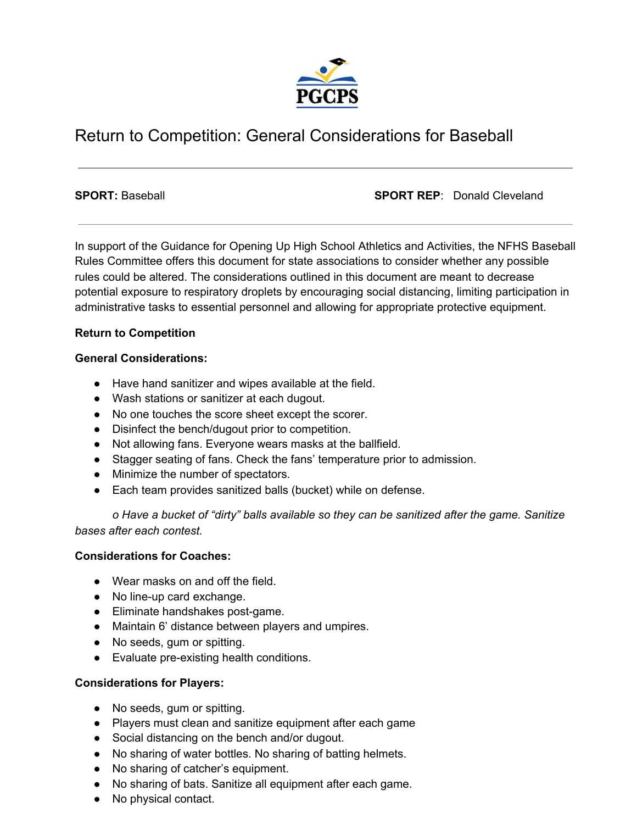

### Return to Competition: General Considerations for Baseball

**SPORT:** Baseball **SPORT REP**: Donald Cleveland

In support of the Guidance for Opening Up High School Athletics and Activities, the NFHS Baseball Rules Committee offers this document for state associations to consider whether any possible rules could be altered. The considerations outlined in this document are meant to decrease potential exposure to respiratory droplets by encouraging social distancing, limiting participation in administrative tasks to essential personnel and allowing for appropriate protective equipment.

#### **Return to Competition**

#### **General Considerations:**

- Have hand sanitizer and wipes available at the field.
- Wash stations or sanitizer at each dugout.
- No one touches the score sheet except the scorer.
- Disinfect the bench/dugout prior to competition.
- Not allowing fans. Everyone wears masks at the ballfield.
- Stagger seating of fans. Check the fans' temperature prior to admission.
- Minimize the number of spectators.
- Each team provides sanitized balls (bucket) while on defense.

*o Have a bucket of "dirty" balls available so they can be sanitized after the game. Sanitize bases after each contest.*

#### **Considerations for Coaches:**

- Wear masks on and off the field.
- No line-up card exchange.
- Eliminate handshakes post-game.
- Maintain 6' distance between players and umpires.
- No seeds, gum or spitting.
- Evaluate pre-existing health conditions.

#### **Considerations for Players:**

- No seeds, gum or spitting.
- Players must clean and sanitize equipment after each game
- Social distancing on the bench and/or dugout.
- No sharing of water bottles. No sharing of batting helmets.
- No sharing of catcher's equipment.
- No sharing of bats. Sanitize all equipment after each game.
- No physical contact.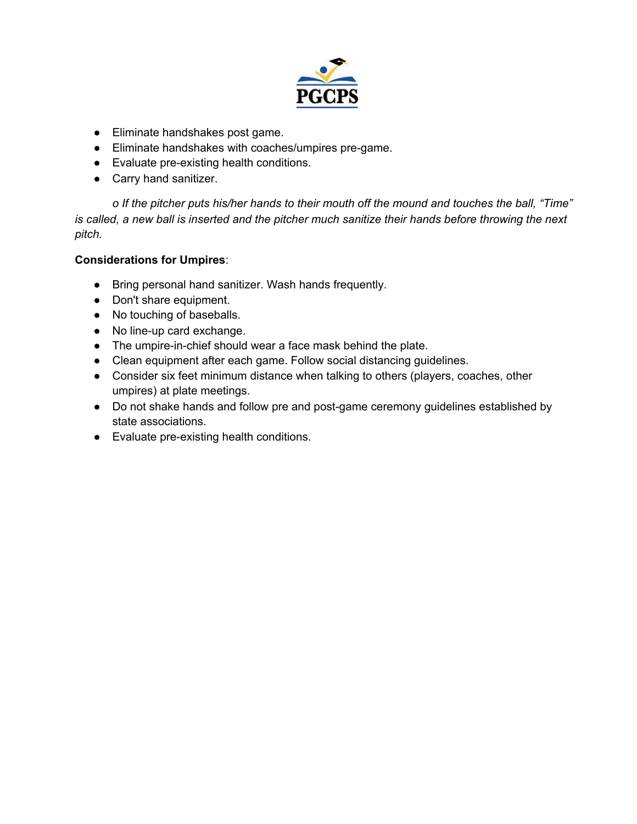

- Eliminate handshakes post game.
- Eliminate handshakes with coaches/umpires pre-game.
- Evaluate pre-existing health conditions.
- Carry hand sanitizer.

*o If the pitcher puts his/her hands to their mouth off the mound and touches the ball, "Time"* is called, a new ball is inserted and the pitcher much sanitize their hands before throwing the next *pitch.*

#### **Considerations for Umpires**:

- Bring personal hand sanitizer. Wash hands frequently.
- Don't share equipment.
- No touching of baseballs.
- No line-up card exchange.
- The umpire-in-chief should wear a face mask behind the plate.
- Clean equipment after each game. Follow social distancing guidelines.
- Consider six feet minimum distance when talking to others (players, coaches, other umpires) at plate meetings.
- Do not shake hands and follow pre and post-game ceremony guidelines established by state associations.
- Evaluate pre-existing health conditions.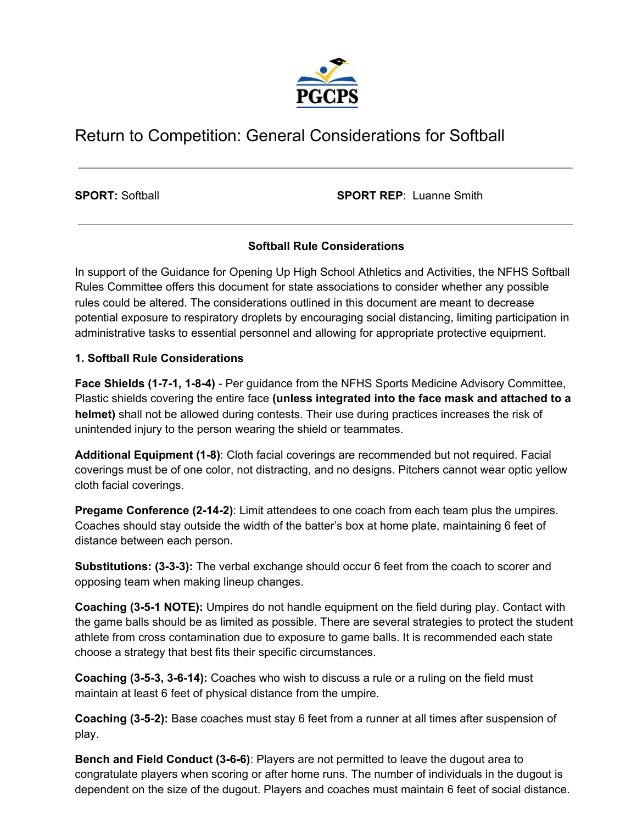

## Return to Competition: General Considerations for Softball

**SPORT:** Softball **SPORT REP**: Luanne Smith

#### **Softball Rule Considerations**

In support of the Guidance for Opening Up High School Athletics and Activities, the NFHS Softball Rules Committee offers this document for state associations to consider whether any possible rules could be altered. The considerations outlined in this document are meant to decrease potential exposure to respiratory droplets by encouraging social distancing, limiting participation in administrative tasks to essential personnel and allowing for appropriate protective equipment.

#### **1. Softball Rule Considerations**

**Face Shields (1-7-1, 1-8-4)** - Per guidance from the NFHS Sports Medicine Advisory Committee, Plastic shields covering the entire face **(unless integrated into the face mask and attached to a helmet)** shall not be allowed during contests. Their use during practices increases the risk of unintended injury to the person wearing the shield or teammates.

**Additional Equipment (1-8)**: Cloth facial coverings are recommended but not required. Facial coverings must be of one color, not distracting, and no designs. Pitchers cannot wear optic yellow cloth facial coverings.

**Pregame Conference (2-14-2)**: Limit attendees to one coach from each team plus the umpires. Coaches should stay outside the width of the batter's box at home plate, maintaining 6 feet of distance between each person.

**Substitutions: (3-3-3):** The verbal exchange should occur 6 feet from the coach to scorer and opposing team when making lineup changes.

**Coaching (3-5-1 NOTE):** Umpires do not handle equipment on the field during play. Contact with the game balls should be as limited as possible. There are several strategies to protect the student athlete from cross contamination due to exposure to game balls. It is recommended each state choose a strategy that best fits their specific circumstances.

**Coaching (3-5-3, 3-6-14):** Coaches who wish to discuss a rule or a ruling on the field must maintain at least 6 feet of physical distance from the umpire.

**Coaching (3-5-2):** Base coaches must stay 6 feet from a runner at all times after suspension of play.

**Bench and Field Conduct (3-6-6)**: Players are not permitted to leave the dugout area to congratulate players when scoring or after home runs. The number of individuals in the dugout is dependent on the size of the dugout. Players and coaches must maintain 6 feet of social distance.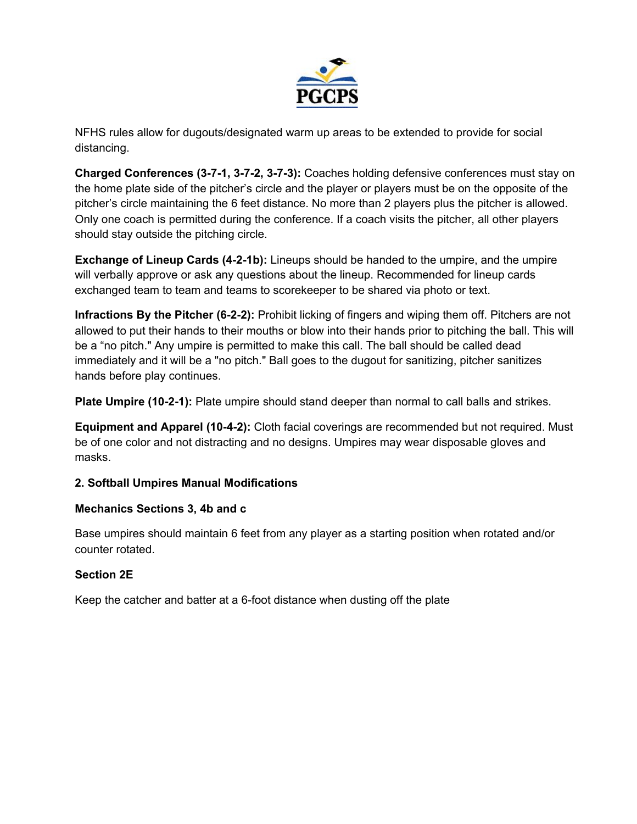

NFHS rules allow for dugouts/designated warm up areas to be extended to provide for social distancing.

**Charged Conferences (3-7-1, 3-7-2, 3-7-3):** Coaches holding defensive conferences must stay on the home plate side of the pitcher's circle and the player or players must be on the opposite of the pitcher's circle maintaining the 6 feet distance. No more than 2 players plus the pitcher is allowed. Only one coach is permitted during the conference. If a coach visits the pitcher, all other players should stay outside the pitching circle.

**Exchange of Lineup Cards (4-2-1b):** Lineups should be handed to the umpire, and the umpire will verbally approve or ask any questions about the lineup. Recommended for lineup cards exchanged team to team and teams to scorekeeper to be shared via photo or text.

**Infractions By the Pitcher (6-2-2):** Prohibit licking of fingers and wiping them off. Pitchers are not allowed to put their hands to their mouths or blow into their hands prior to pitching the ball. This will be a "no pitch." Any umpire is permitted to make this call. The ball should be called dead immediately and it will be a "no pitch." Ball goes to the dugout for sanitizing, pitcher sanitizes hands before play continues.

**Plate Umpire (10-2-1):** Plate umpire should stand deeper than normal to call balls and strikes.

**Equipment and Apparel (10-4-2):** Cloth facial coverings are recommended but not required. Must be of one color and not distracting and no designs. Umpires may wear disposable gloves and masks.

#### **2. Softball Umpires Manual Modifications**

#### **Mechanics Sections 3, 4b and c**

Base umpires should maintain 6 feet from any player as a starting position when rotated and/or counter rotated.

### **Section 2E**

Keep the catcher and batter at a 6-foot distance when dusting off the plate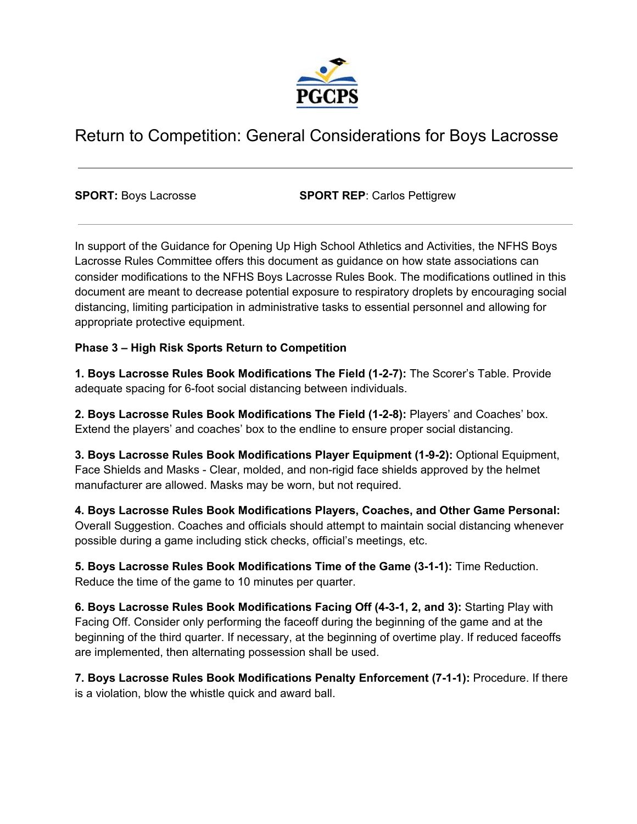

## Return to Competition: General Considerations for Boys Lacrosse

**SPORT:** Boys Lacrosse **SPORT REP**: Carlos Pettigrew

In support of the Guidance for Opening Up High School Athletics and Activities, the NFHS Boys Lacrosse Rules Committee offers this document as guidance on how state associations can consider modifications to the NFHS Boys Lacrosse Rules Book. The modifications outlined in this document are meant to decrease potential exposure to respiratory droplets by encouraging social distancing, limiting participation in administrative tasks to essential personnel and allowing for appropriate protective equipment.

#### **Phase 3 – High Risk Sports Return to Competition**

**1. Boys Lacrosse Rules Book Modifications The Field (1-2-7):** The Scorer's Table. Provide adequate spacing for 6-foot social distancing between individuals.

**2. Boys Lacrosse Rules Book Modifications The Field (1-2-8):** Players' and Coaches' box. Extend the players' and coaches' box to the endline to ensure proper social distancing.

**3. Boys Lacrosse Rules Book Modifications Player Equipment (1-9-2):** Optional Equipment, Face Shields and Masks - Clear, molded, and non-rigid face shields approved by the helmet manufacturer are allowed. Masks may be worn, but not required.

**4. Boys Lacrosse Rules Book Modifications Players, Coaches, and Other Game Personal:** Overall Suggestion. Coaches and officials should attempt to maintain social distancing whenever possible during a game including stick checks, official's meetings, etc.

**5. Boys Lacrosse Rules Book Modifications Time of the Game (3-1-1):** Time Reduction. Reduce the time of the game to 10 minutes per quarter.

**6. Boys Lacrosse Rules Book Modifications Facing Off (4-3-1, 2, and 3):** Starting Play with Facing Off. Consider only performing the faceoff during the beginning of the game and at the beginning of the third quarter. If necessary, at the beginning of overtime play. If reduced faceoffs are implemented, then alternating possession shall be used.

**7. Boys Lacrosse Rules Book Modifications Penalty Enforcement (7-1-1):** Procedure. If there is a violation, blow the whistle quick and award ball.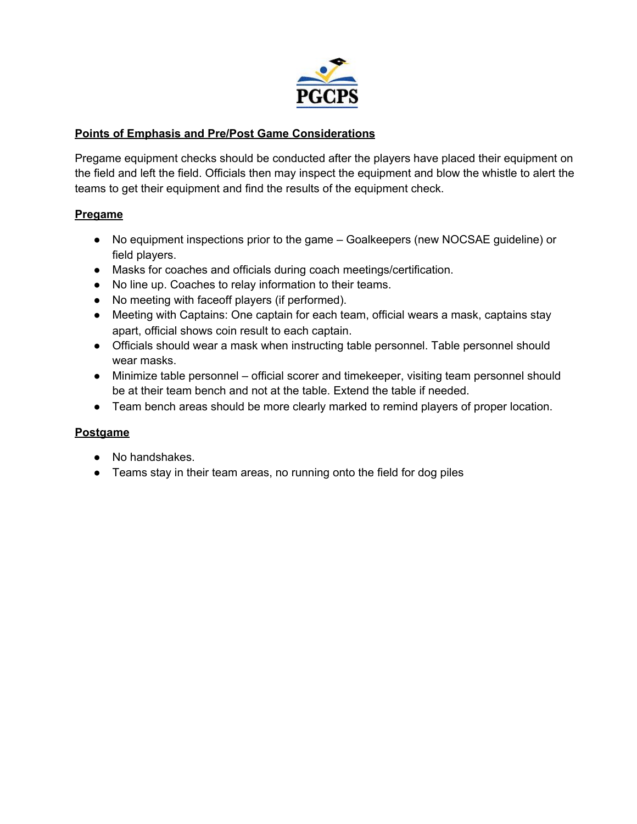

#### **Points of Emphasis and Pre/Post Game Considerations**

Pregame equipment checks should be conducted after the players have placed their equipment on the field and left the field. Officials then may inspect the equipment and blow the whistle to alert the teams to get their equipment and find the results of the equipment check.

#### **Pregame**

- No equipment inspections prior to the game Goalkeepers (new NOCSAE guideline) or field players.
- Masks for coaches and officials during coach meetings/certification.
- No line up. Coaches to relay information to their teams.
- No meeting with faceoff players (if performed).
- Meeting with Captains: One captain for each team, official wears a mask, captains stay apart, official shows coin result to each captain.
- Officials should wear a mask when instructing table personnel. Table personnel should wear masks.
- Minimize table personnel official scorer and timekeeper, visiting team personnel should be at their team bench and not at the table. Extend the table if needed.
- Team bench areas should be more clearly marked to remind players of proper location.

#### **Postgame**

- No handshakes.
- Teams stay in their team areas, no running onto the field for dog piles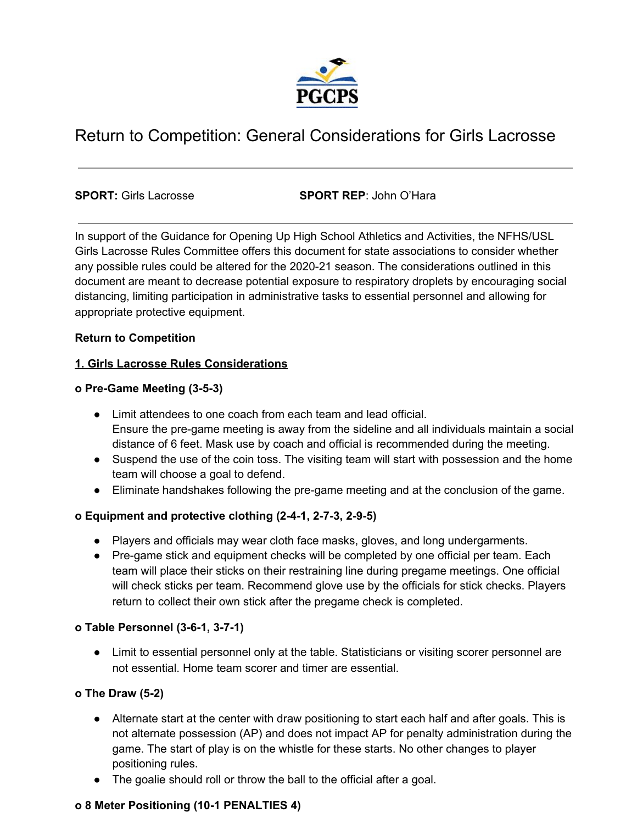

### Return to Competition: General Considerations for Girls Lacrosse

**SPORT:** Girls Lacrosse **SPORT REP**: John O'Hara

In support of the Guidance for Opening Up High School Athletics and Activities, the NFHS/USL Girls Lacrosse Rules Committee offers this document for state associations to consider whether any possible rules could be altered for the 2020-21 season. The considerations outlined in this document are meant to decrease potential exposure to respiratory droplets by encouraging social distancing, limiting participation in administrative tasks to essential personnel and allowing for appropriate protective equipment.

#### **Return to Competition**

#### **1. Girls Lacrosse Rules Considerations**

#### **o Pre-Game Meeting (3-5-3)**

- Limit attendees to one coach from each team and lead official. Ensure the pre-game meeting is away from the sideline and all individuals maintain a social distance of 6 feet. Mask use by coach and official is recommended during the meeting.
- Suspend the use of the coin toss. The visiting team will start with possession and the home team will choose a goal to defend.
- Eliminate handshakes following the pre-game meeting and at the conclusion of the game.

#### **o Equipment and protective clothing (2-4-1, 2-7-3, 2-9-5)**

- Players and officials may wear cloth face masks, gloves, and long undergarments.
- Pre-game stick and equipment checks will be completed by one official per team. Each team will place their sticks on their restraining line during pregame meetings. One official will check sticks per team. Recommend glove use by the officials for stick checks. Players return to collect their own stick after the pregame check is completed.

#### **o Table Personnel (3-6-1, 3-7-1)**

● Limit to essential personnel only at the table. Statisticians or visiting scorer personnel are not essential. Home team scorer and timer are essential.

#### **o The Draw (5-2)**

- Alternate start at the center with draw positioning to start each half and after goals. This is not alternate possession (AP) and does not impact AP for penalty administration during the game. The start of play is on the whistle for these starts. No other changes to player positioning rules.
- The goalie should roll or throw the ball to the official after a goal.

#### **o 8 Meter Positioning (10-1 PENALTIES 4)**